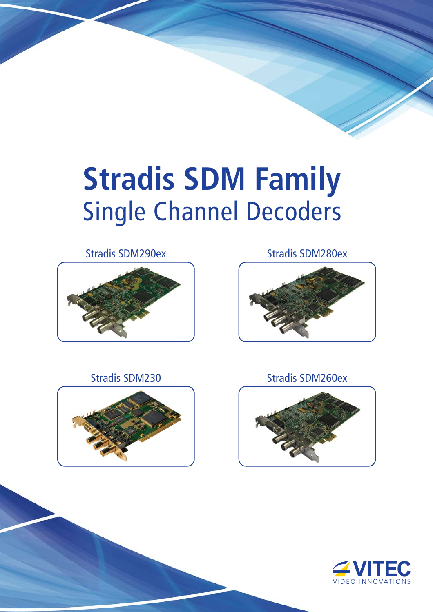# **Stradis SDM Family** Single Channel Decoders



Stradis SDM290ex Stradis SDM280ex





Stradis SDM230 Stradis SDM260ex



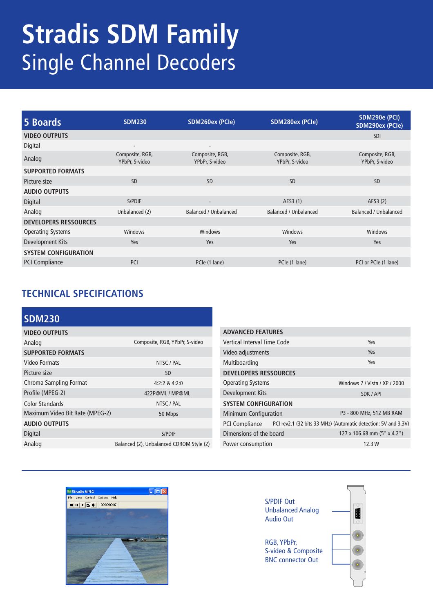## **Stradis SDM Family** Single Channel Decoders

| <b>5 Boards</b>              | <b>SDM230</b>                     | SDM260ex (PCIe)                   | SDM280ex (PCIe)                   | SDM290e (PCI)<br>SDM290ex (PCIe)  |
|------------------------------|-----------------------------------|-----------------------------------|-----------------------------------|-----------------------------------|
| <b>VIDEO OUTPUTS</b>         |                                   |                                   |                                   | SDI                               |
| Digital                      | $\overline{\phantom{a}}$          | $\overline{\phantom{a}}$          |                                   |                                   |
| Analog                       | Composite, RGB,<br>YPbPr, S-video | Composite, RGB,<br>YPbPr, S-video | Composite, RGB,<br>YPbPr, S-video | Composite, RGB,<br>YPbPr, S-video |
| <b>SUPPORTED FORMATS</b>     |                                   |                                   |                                   |                                   |
| Picture size                 | SD                                | <b>SD</b>                         | <b>SD</b>                         | <b>SD</b>                         |
| <b>AUDIO OUTPUTS</b>         |                                   |                                   |                                   |                                   |
| Digital                      | S/PDIF                            | $\overline{\phantom{a}}$          | AES3 (1)                          | AES3 (2)                          |
| Analog                       | Unbalanced (2)                    | Balanced / Unbalanced             | Balanced / Unbalanced             | Balanced / Unbalanced             |
| <b>DEVELOPERS RESSOURCES</b> |                                   |                                   |                                   |                                   |
| <b>Operating Systems</b>     | Windows                           | <b>Windows</b>                    | Windows                           | Windows                           |
| Development Kits             | Yes                               | Yes                               | Yes                               | Yes                               |
| <b>SYSTEM CONFIGURATION</b>  |                                   |                                   |                                   |                                   |
| <b>PCI Compliance</b>        | PCI                               | PCIe (1 lane)                     | PCIe (1 lane)                     | PCI or PCIe (1 lane)              |
|                              |                                   |                                   |                                   |                                   |

### **TECHNICAL SPECIFICATIONS**

| <b>SDM230</b>                   |                                          |                              |                                                                |
|---------------------------------|------------------------------------------|------------------------------|----------------------------------------------------------------|
| <b>VIDEO OUTPUTS</b>            |                                          | <b>ADVANCED FEATURES</b>     |                                                                |
| Analog                          | Composite, RGB, YPbPr, S-video           | Vertical Interval Time Code  | Yes                                                            |
| <b>SUPPORTED FORMATS</b>        |                                          | Video adjustments            | Yes                                                            |
| Video Formats                   | NTSC / PAL                               | Multiboarding                | Yes                                                            |
| Picture size                    | <b>SD</b>                                | <b>DEVELOPERS RESSOURCES</b> |                                                                |
| Chroma Sampling Format          | $4:2:2 \& 4:2:0$                         | <b>Operating Systems</b>     | Windows 7 / Vista / XP / 2000                                  |
| Profile (MPEG-2)                | 422P@ML / MP@ML                          | Development Kits             | SDK / API                                                      |
| <b>Color Standards</b>          | NTSC / PAL                               | <b>SYSTEM CONFIGURATION</b>  |                                                                |
| Maximum Video Bit Rate (MPEG-2) | 50 Mbps                                  | <b>Minimum Configuration</b> | P3 - 800 MHz, 512 MB RAM                                       |
| <b>AUDIO OUTPUTS</b>            |                                          | <b>PCI Compliance</b>        | PCI rev2.1 (32 bits 33 MHz) (Automatic detection: 5V and 3.3V) |
| Digital                         | S/PDIF                                   | Dimensions of the board      | $127 \times 106.68$ mm $(5" \times 4.2")$                      |
| Analog                          | Balanced (2), Unbalanced CDROM Style (2) | Power consumption            | 12.3 W                                                         |



S/PDIF Out Unbalanced Analog Audio Out

RGB, YPbPr, S-video & Composite BNC connector Out